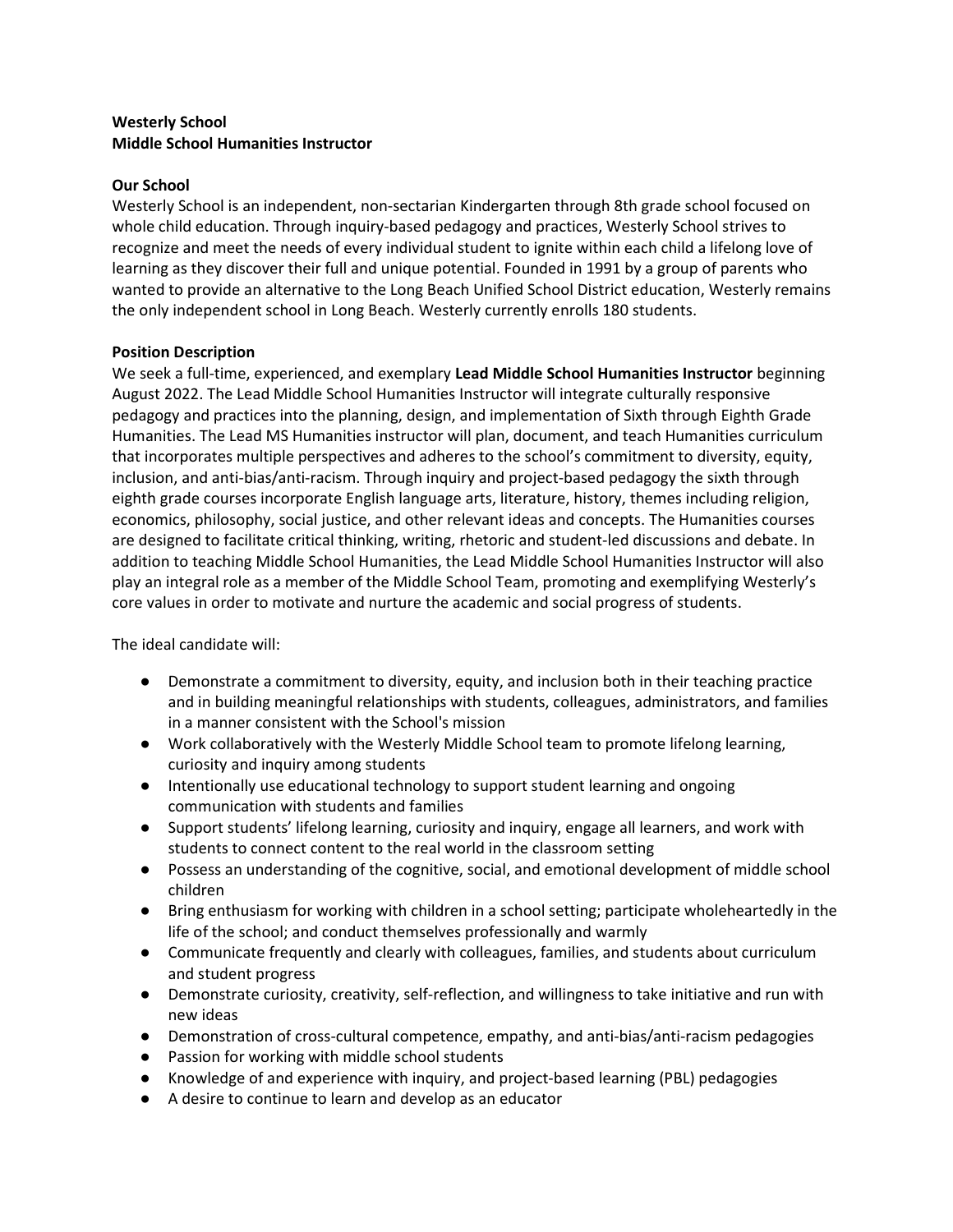## Westerly School Middle School Humanities Instructor

#### Our School

Westerly School is an independent, non-sectarian Kindergarten through 8th grade school focused on whole child education. Through inquiry-based pedagogy and practices, Westerly School strives to recognize and meet the needs of every individual student to ignite within each child a lifelong love of learning as they discover their full and unique potential. Founded in 1991 by a group of parents who wanted to provide an alternative to the Long Beach Unified School District education, Westerly remains the only independent school in Long Beach. Westerly currently enrolls 180 students.

#### Position Description

We seek a full-time, experienced, and exemplary Lead Middle School Humanities Instructor beginning August 2022. The Lead Middle School Humanities Instructor will integrate culturally responsive pedagogy and practices into the planning, design, and implementation of Sixth through Eighth Grade Humanities. The Lead MS Humanities instructor will plan, document, and teach Humanities curriculum that incorporates multiple perspectives and adheres to the school's commitment to diversity, equity, inclusion, and anti-bias/anti-racism. Through inquiry and project-based pedagogy the sixth through eighth grade courses incorporate English language arts, literature, history, themes including religion, economics, philosophy, social justice, and other relevant ideas and concepts. The Humanities courses are designed to facilitate critical thinking, writing, rhetoric and student-led discussions and debate. In addition to teaching Middle School Humanities, the Lead Middle School Humanities Instructor will also play an integral role as a member of the Middle School Team, promoting and exemplifying Westerly's core values in order to motivate and nurture the academic and social progress of students.

The ideal candidate will:

- Demonstrate a commitment to diversity, equity, and inclusion both in their teaching practice and in building meaningful relationships with students, colleagues, administrators, and families in a manner consistent with the School's mission
- Work collaboratively with the Westerly Middle School team to promote lifelong learning, curiosity and inquiry among students
- Intentionally use educational technology to support student learning and ongoing communication with students and families
- Support students' lifelong learning, curiosity and inquiry, engage all learners, and work with students to connect content to the real world in the classroom setting
- Possess an understanding of the cognitive, social, and emotional development of middle school children
- Bring enthusiasm for working with children in a school setting; participate wholeheartedly in the life of the school; and conduct themselves professionally and warmly
- Communicate frequently and clearly with colleagues, families, and students about curriculum and student progress
- Demonstrate curiosity, creativity, self-reflection, and willingness to take initiative and run with new ideas
- Demonstration of cross-cultural competence, empathy, and anti-bias/anti-racism pedagogies
- Passion for working with middle school students
- Knowledge of and experience with inquiry, and project-based learning (PBL) pedagogies
- A desire to continue to learn and develop as an educator